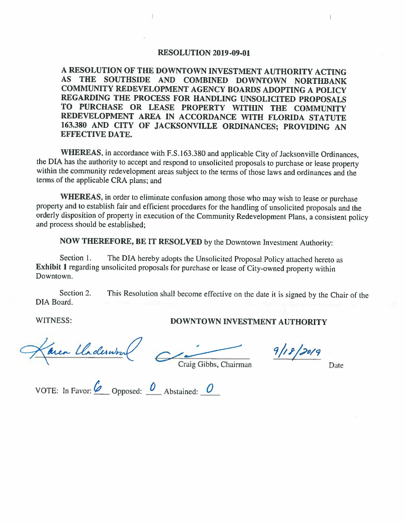#### **RESOLUTION 2019-09-01**

**A RESOLUTION OF THE DOWNTOWN INVESTMENT AUTHORITY ACTING AS THE SOUTHSIDE AND COMBINED DOWNTOWN NORTHBANK COMMUNITY REDEVELOPMENT AGENCY BOARDS ADOPTING A POLICY REGARDING THE PROCESS FOR HANDLING UNSOLICITED PROPOSALS TO PURCHASE OR LEASE PROPERTY WITHIN THE COMMUNITY REDEVELOPMENT AREA IN ACCORDANCE WITH FLORIDA STATUTE 163.380 AND CITY OF JACKSONVILLE ORDINANCES; PROVIDING AN EFFECTIVE DATE.** 

**WHEREAS,** in accordance with F.S. 163.380 and applicable City of Jacksonville Ordinances, the DIA has the authority to accept and respond to unsolicited proposals to purchase or lease property within the community redevelopment areas subject to the terms of those laws and ordinances and the terms of the applicable CRA plans; and

**WHEREAS,** in order to eliminate confusion among those who may wish to lease or purchase property and to establish fair and efficient procedures for the handling of unsolicited proposals and the orderly disposition of property in execution of the Community Redevelopment Plans, a consistent policy and process should be established;

**NOW THEREFORE, BE IT RESOLVED** by the Downtown Investment Authority:

Section 1. The DIA hereby adopts the Unsolicited Proposal Policy attached hereto as **Exhibit l** regarding unsolicited proposals for purchase or lease of City-owned property within Downtown.

Section 2. DIA Board. This Resolution shall become effective on the date it is signed by the Chair of the

# WITNESS: **DOWNTOWN INVESTMENT AUTHORITY**

area Claderwin

**9/18/2019**<br>Craig Gibbs, Chairman Date

VOTE: In Favor:  $\overline{\mathscr{O}}$  Opposed:  $\overline{\mathscr{O}}$  Abstained:  $\overline{\mathscr{O}}$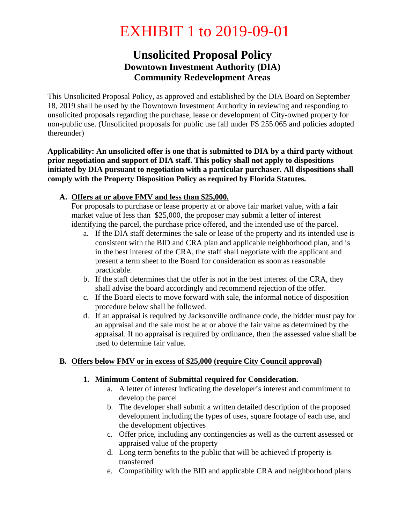# EXHIBIT 1 to 2019-09-01

# **Unsolicited Proposal Policy Downtown Investment Authority (DIA) Community Redevelopment Areas**

This Unsolicited Proposal Policy, as approved and established by the DIA Board on September 18, 2019 shall be used by the Downtown Investment Authority in reviewing and responding to unsolicited proposals regarding the purchase, lease or development of City-owned property for non-public use. (Unsolicited proposals for public use fall under FS 255.065 and policies adopted thereunder)

**Applicability: An unsolicited offer is one that is submitted to DIA by a third party without prior negotiation and support of DIA staff. This policy shall not apply to dispositions initiated by DIA pursuant to negotiation with a particular purchaser. All dispositions shall comply with the Property Disposition Policy as required by Florida Statutes.**

### **A. Offers at or above FMV and less than \$25,000.**

For proposals to purchase or lease property at or above fair market value, with a fair market value of less than \$25,000, the proposer may submit a letter of interest identifying the parcel, the purchase price offered, and the intended use of the parcel.

- a. If the DIA staff determines the sale or lease of the property and its intended use is consistent with the BID and CRA plan and applicable neighborhood plan, and is in the best interest of the CRA, the staff shall negotiate with the applicant and present a term sheet to the Board for consideration as soon as reasonable practicable.
- b. If the staff determines that the offer is not in the best interest of the CRA, they shall advise the board accordingly and recommend rejection of the offer.
- c. If the Board elects to move forward with sale, the informal notice of disposition procedure below shall be followed.
- d. If an appraisal is required by Jacksonville ordinance code, the bidder must pay for an appraisal and the sale must be at or above the fair value as determined by the appraisal. If no appraisal is required by ordinance, then the assessed value shall be used to determine fair value.

# **B. Offers below FMV or in excess of \$25,000 (require City Council approval)**

#### **1. Minimum Content of Submittal required for Consideration.**

- a. A letter of interest indicating the developer's interest and commitment to develop the parcel
- b. The developer shall submit a written detailed description of the proposed development including the types of uses, square footage of each use, and the development objectives
- c. Offer price, including any contingencies as well as the current assessed or appraised value of the property
- d. Long term benefits to the public that will be achieved if property is transferred
- e. Compatibility with the BID and applicable CRA and neighborhood plans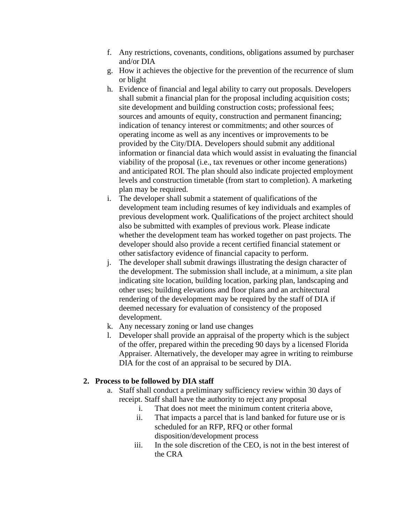- f. Any restrictions, covenants, conditions, obligations assumed by purchaser and/or DIA
- g. How it achieves the objective for the prevention of the recurrence of slum or blight
- h. Evidence of financial and legal ability to carry out proposals. Developers shall submit a financial plan for the proposal including acquisition costs; site development and building construction costs; professional fees; sources and amounts of equity, construction and permanent financing; indication of tenancy interest or commitments; and other sources of operating income as well as any incentives or improvements to be provided by the City/DIA. Developers should submit any additional information or financial data which would assist in evaluating the financial viability of the proposal (i.e., tax revenues or other income generations) and anticipated ROI. The plan should also indicate projected employment levels and construction timetable (from start to completion). A marketing plan may be required.
- i. The developer shall submit a statement of qualifications of the development team including resumes of key individuals and examples of previous development work. Qualifications of the project architect should also be submitted with examples of previous work. Please indicate whether the development team has worked together on past projects. The developer should also provide a recent certified financial statement or other satisfactory evidence of financial capacity to perform.
- j. The developer shall submit drawings illustrating the design character of the development. The submission shall include, at a minimum, a site plan indicating site location, building location, parking plan, landscaping and other uses; building elevations and floor plans and an architectural rendering of the development may be required by the staff of DIA if deemed necessary for evaluation of consistency of the proposed development.
- k. Any necessary zoning or land use changes
- l. Developer shall provide an appraisal of the property which is the subject of the offer, prepared within the preceding 90 days by a licensed Florida Appraiser. Alternatively, the developer may agree in writing to reimburse DIA for the cost of an appraisal to be secured by DIA.

#### **2. Process to be followed by DIA staff**

- a. Staff shall conduct a preliminary sufficiency review within 30 days of receipt. Staff shall have the authority to reject any proposal
	- i. That does not meet the minimum content criteria above,
	- ii. That impacts a parcel that is land banked for future use or is scheduled for an RFP, RFQ or other formal disposition/development process
	- iii. In the sole discretion of the CEO, is not in the best interest of the CRA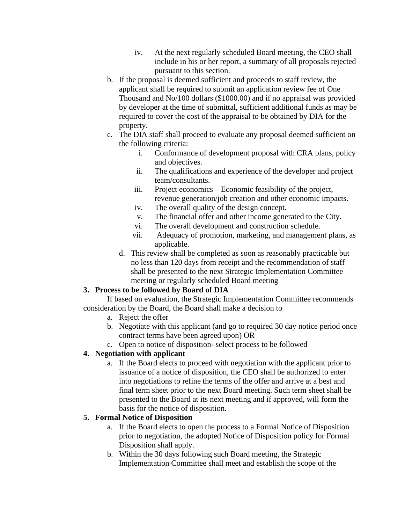- iv. At the next regularly scheduled Board meeting, the CEO shall include in his or her report, a summary of all proposals rejected pursuant to this section.
- b. If the proposal is deemed sufficient and proceeds to staff review, the applicant shall be required to submit an application review fee of One Thousand and No/100 dollars (\$1000.00) and if no appraisal was provided by developer at the time of submittal, sufficient additional funds as may be required to cover the cost of the appraisal to be obtained by DIA for the property.
- c. The DIA staff shall proceed to evaluate any proposal deemed sufficient on the following criteria:
	- i. Conformance of development proposal with CRA plans, policy and objectives.
	- ii. The qualifications and experience of the developer and project team/consultants.
	- iii. Project economics Economic feasibility of the project, revenue generation/job creation and other economic impacts.
	- iv. The overall quality of the design concept.
	- v. The financial offer and other income generated to the City.
	- vi. The overall development and construction schedule.
	- vii. Adequacy of promotion, marketing, and management plans, as applicable.
	- d. This review shall be completed as soon as reasonably practicable but no less than 120 days from receipt and the recommendation of staff shall be presented to the next Strategic Implementation Committee meeting or regularly scheduled Board meeting

#### **3. Process to be followed by Board of DIA**

If based on evaluation, the Strategic Implementation Committee recommends consideration by the Board, the Board shall make a decision to

- a. Reject the offer
- b. Negotiate with this applicant (and go to required 30 day notice period once contract terms have been agreed upon) OR
- c. Open to notice of disposition- select process to be followed

# **4. Negotiation with applicant**

a. If the Board elects to proceed with negotiation with the applicant prior to issuance of a notice of disposition, the CEO shall be authorized to enter into negotiations to refine the terms of the offer and arrive at a best and final term sheet prior to the next Board meeting. Such term sheet shall be presented to the Board at its next meeting and if approved, will form the basis for the notice of disposition.

# **5. Formal Notice of Disposition**

- a. If the Board elects to open the process to a Formal Notice of Disposition prior to negotiation, the adopted Notice of Disposition policy for Formal Disposition shall apply.
- b. Within the 30 days following such Board meeting, the Strategic Implementation Committee shall meet and establish the scope of the